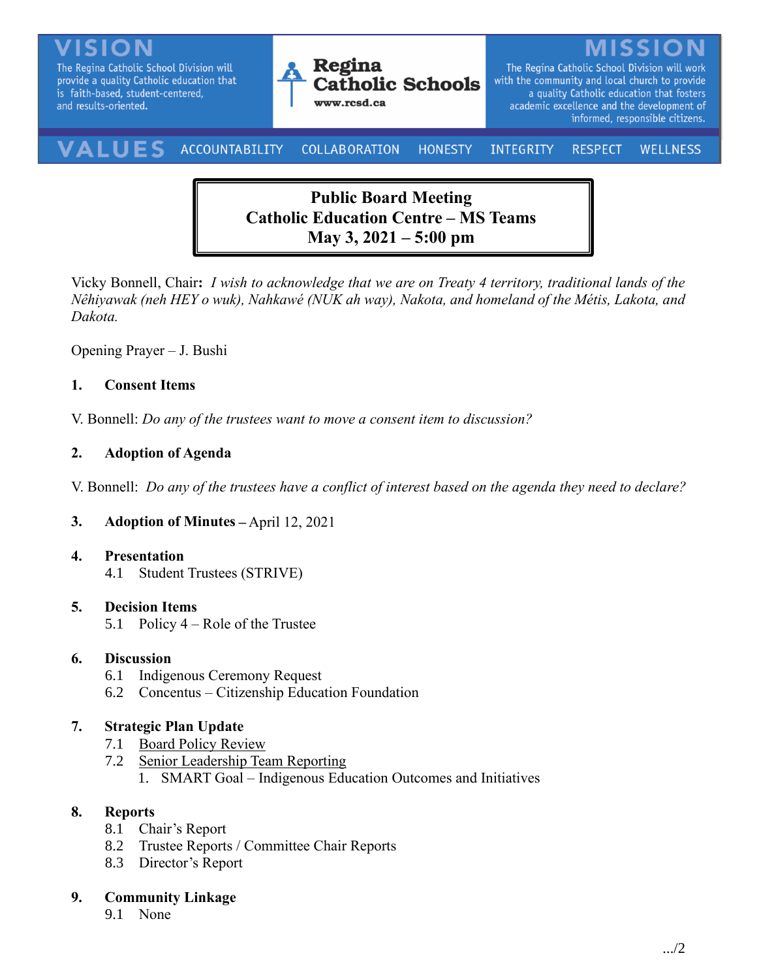The Regina Catholic School Division will provide a quality Catholic education that is faith-based, student-centered, and results-oriented.



The Regina Catholic School Division will work with the community and local church to provide a quality Catholic education that fosters academic excellence and the development of informed, responsible citizens.

#### VALUES ACCOUNTABILITY **COLLABORATION** INTEGRITY **HONESTY RESPECT WELLNESS**

# **Public Board Meeting Catholic Education Centre – MS Teams May 3, 2021 – 5:00 pm**

Vicky Bonnell, Chair**:** *I wish to acknowledge that we are on Treaty 4 territory, traditional lands of the Nêhiyawak (neh HEY o wuk), Nahkawé (NUK ah way), Nakota, and homeland of the Métis, Lakota, and Dakota.*

Opening Prayer – J. Bushi

# **1. Consent Items**

V. Bonnell: *Do any of the trustees want to move a consent item to discussion?* 

# **2. Adoption of Agenda**

V. Bonnell: *Do any of the trustees have a conflict of interest based on the agenda they need to declare?*

# **3. Adoption of Minutes –** April 12, 2021

### **4. Presentation**

4.1 Student Trustees (STRIVE)

### **5. Decision Items**

5.1 Policy 4 – Role of the Trustee

### **6. Discussion**

- 6.1 Indigenous Ceremony Request
- 6.2 Concentus Citizenship Education Foundation

# **7. Strategic Plan Update**

- 7.1 Board Policy Review
- 7.2 Senior Leadership Team Reporting
	- 1. SMART Goal Indigenous Education Outcomes and Initiatives

# **8. Reports**

- 8.1 Chair's Report
- 8.2 Trustee Reports / Committee Chair Reports
- 8.3 Director's Report

# **9. Community Linkage**

9.1 None